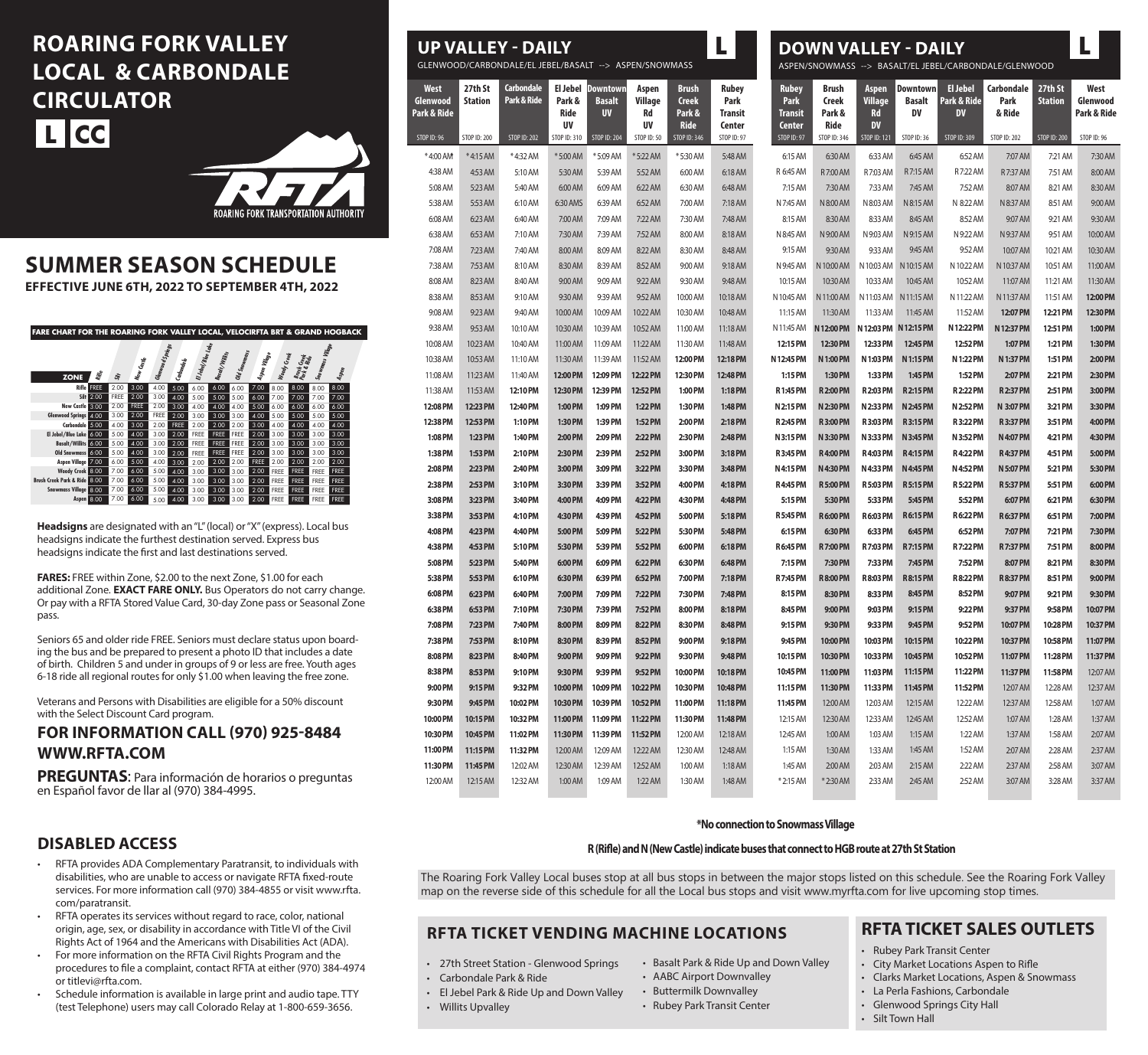# **ROARING FORK VALLEY LOCAL & CARBONDALE CIRCULATOR L CC**



## **SUMMER SEASON SCHEDULE**

**EFFECTIVE JUNE 6TH, 2022 TO SEPTEMBER 4TH, 2022**

| <b>FARE CHART FOR THE ROARING FORK VALLEY LOCAL, VELOCIRFTA BRT &amp; GRAND HOGBACK</b> |                   |             |             |                         |             |                    |                        |              |               |            |                           |                  |             |  |
|-----------------------------------------------------------------------------------------|-------------------|-------------|-------------|-------------------------|-------------|--------------------|------------------------|--------------|---------------|------------|---------------------------|------------------|-------------|--|
|                                                                                         |                   |             |             | <b>Glenwood Springs</b> |             | El Jebel/Blue Lake |                        | Old Snowmass |               |            |                           | Snowmass Village |             |  |
| <b>ZONE</b>                                                                             | Rifle             | 淙           | New Castle  |                         | Carbondale  |                    | <b>Basalt /Willits</b> |              | Aspen Village | Woody Geek | Brush Geek<br>Park & Ride |                  | Aspen       |  |
|                                                                                         | <b>Rifle FREE</b> | 2.00        | 3.00        | 4.00                    | 5.00        | 6.00               | 6.00                   | 6.00         | 7.00          | 8.00       | 8.00                      | 8.00             | 8.00        |  |
|                                                                                         | <b>Silt</b> 2.00  | <b>FREE</b> | 2.00        | 3.00                    | 4.00        | 5.00               | 5.00                   | 5.00         | 6.00          | 7.00       | 7.00                      | 7.00             | 7.00        |  |
| New Castle 3.00                                                                         |                   | 2.00        | <b>FREE</b> | 2.00                    | 3.00        | 4.00               | 4.00                   | 4.00         | 5.00          | 6.00       | 6.00                      | 6.00             | 6.00        |  |
| Glenwood Springs 4.00                                                                   |                   | 3.00        | 2.00        | <b>FREE</b>             | 2.00        | 3.00               | 3.00                   | 3.00         | 4.00          | 5.00       | 5.00                      | 5.00             | 5.00        |  |
| Carbondale 5.00                                                                         |                   | 4.00        | 3.00        | 2.00                    | <b>FREE</b> | 2.00               | 2.00                   | 2.00         | 3.00          | 4.00       | 4.00                      | 4.00             | 4.00        |  |
| El Jebel/Blue Lake 6.00                                                                 |                   | 5.00        | 4.00        | 3.00                    | 2.00        | FREE               | <b>FREE</b>            | <b>FREE</b>  | 2.00          | 3.00       | 3.00                      | 3.00             | 3.00        |  |
| <b>Basalt/Willits 6.00</b>                                                              |                   | 5.00        | 4.00        | 3.00                    | 2.00        | FREE               | <b>FREE</b>            | FREE         | 2.00          | 3.00       | 3.00                      | 3.00             | 3.00        |  |
| Old Snowmass 6:00                                                                       |                   | 5.00        | 4.00        | 3.00                    | 2.00        | FREE               | <b>FREE</b>            | <b>FREE</b>  | 2.00          | 3.00       | 3.00                      | 3.00             | 3.00        |  |
| Aspen Village 7.00                                                                      |                   | 6.00        | 5.00        | 4.00                    | 3.00        | 2.00               | 2.00                   | 2.00         | <b>FREE</b>   | 2.00       | 2.00                      | 2.00             | 2.00        |  |
| Woody Creek 8.00                                                                        |                   | 7.00        | 6.00        | 5.00                    | 4.00        | 3.00               | 3.00                   | 3.00         | 2.00          | FREE       | <b>FREE</b>               | <b>FREE</b>      | <b>FREE</b> |  |
| Brush Creek Park & Ride 3.00                                                            |                   | 7.00        | 6.00        | 5.00                    | 4.00        | 3.00               | 3.00                   | 3.00         | 2.00          | FREE       | <b>FREE</b>               | <b>FREE</b>      | <b>FREE</b> |  |
| Snowmass Village 8.00                                                                   |                   | 7.00        | 6.00        | 5.00                    | 4.00        | 3.00               | 3.00                   | 3.00         | 2.00          | FREE       | <b>FREE</b>               | <b>FREE</b>      | <b>FREE</b> |  |
| Aspen 8.00                                                                              |                   | 7.00        | 6.00        | 5.00                    | 4.00        | 3.00               | 3.00                   | 3.00         | 2.00          | FREE       | <b>FREE</b>               | <b>FREE</b>      | <b>FREE</b> |  |

**Headsigns** are designated with an "L" (local) or "X" (express). Local bus headsigns indicate the furthest destination served. Express bus headsigns indicate the first and last destinations served.

**FARES:** FREE within Zone, \$2.00 to the next Zone, \$1.00 for each additional Zone. **EXACT FARE ONLY.** Bus Operators do not carry change. Or pay with a RFTA Stored Value Card, 30-day Zone pass or Seasonal Zone pass.

Seniors 65 and older ride FREE. Seniors must declare status upon boarding the bus and be prepared to present a photo ID that includes a date of birth. Children 5 and under in groups of 9 or less are free. Youth ages 6-18 ride all regional routes for only \$1.00 when leaving the free zone.

Veterans and Persons with Disabilities are eligible for a 50% discount with the Select Discount Card program.

### **FOR INFORMATION CALL (970) 925-8484 WWW.RFTA.COM**

**PREGUNTAS**: Para información de horarios o preguntas en Español favor de llar al (970) 384-4995.

### **DISABLED ACCESS**

- RFTA provides ADA Complementary Paratransit, to individuals with disabilities, who are unable to access or navigate RFTA fixed-route services. For more information call (970) 384-4855 or visit www.rfta. com/paratransit.
- RFTA operates its services without regard to race, color, national origin, age, sex, or disability in accordance with Title VI of the Civil Rights Act of 1964 and the Americans with Disabilities Act (ADA).
- For more information on the RFTA Civil Rights Program and the procedures to file a complaint, contact RFTA at either (970) 384-4974 or titlevi@rfta.com.
- Schedule information is available in large print and audio tape. TTY (test Telephone) users may call Colorado Relay at 1-800-659-3656.

|                                       | <b>UP VALLEY - DAILY</b><br>GLENWOOD/CARBONDALE/EL JEBEL/BASALT --> ASPEN/SNOWMASS |                           |                             |                                                        |                              | <b>DOWN VALLEY - DAILY</b><br>ASPEN/SNOWMASS --> BASALT/EL JEBEL/CARBONDALE/GLENWOOD |                                           |                                                                |                                         |                                                   |                                               |                                             |                              |                           |                                 |
|---------------------------------------|------------------------------------------------------------------------------------|---------------------------|-----------------------------|--------------------------------------------------------|------------------------------|--------------------------------------------------------------------------------------|-------------------------------------------|----------------------------------------------------------------|-----------------------------------------|---------------------------------------------------|-----------------------------------------------|---------------------------------------------|------------------------------|---------------------------|---------------------------------|
| <b>West</b><br>Glenwood<br>ark & Ride | 27th St<br><b>Station</b>                                                          | Carbondale<br>Park & Ride | Park &<br><b>Ride</b><br>UV | <b>El Jebel Downtown</b><br><b>Basalt</b><br><b>UV</b> | Aspen<br>Village<br>Rd<br>UV | <b>Brush</b><br><b>Creek</b><br>Park &<br><b>Ride</b>                                | <b>Rubey</b><br>Park<br>Transit<br>Center | <b>Rubey</b><br><b>Park</b><br><b>Transit</b><br><b>Center</b> | <b>Brush</b><br>Creek<br>Park &<br>Ride | Aspen<br><b>Village</b><br><b>Rd</b><br><b>DV</b> | <b>Downtown</b><br><b>Basalt</b><br><b>DV</b> | <b>El Jebel</b><br>Park & Ride<br><b>DV</b> | Carbondale<br>Park<br>& Ride | 27th St<br><b>Station</b> | West<br>Glenwood<br>Park & Ride |
| STOP ID: 96                           | STOP ID: 200                                                                       | <b>STOP ID: 202</b>       | STOP ID: 310                | <b>STOP ID: 204</b>                                    | <b>STOP ID: 50</b>           | <b>STOP ID: 346</b>                                                                  | <b>STOP ID: 97</b>                        | <b>STOP ID: 97</b>                                             | STOP ID: 346                            | <b>STOP ID: 121</b>                               | STOP ID: 36                                   | <b>STOP ID: 309</b>                         | <b>STOP ID: 202</b>          | <b>STOP ID: 200</b>       | STOP ID: 96                     |
| *4:00 AM                              | *4:15 AM                                                                           | *4:32 AM                  | *5:00 AM                    | *5:09 AM                                               | *5:22 AM                     | *5:30 AM                                                                             | 5:48 AM                                   | 6:15 AM                                                        | 6:30 AM                                 | 6:33 AM                                           | 6:45 AM                                       | 6:52 AM                                     | 7:07 AM                      | 7:21 AM                   | 7:30 AM                         |
| 4:38 AM                               | 4:53 AM                                                                            | 5:10 AM                   | 5:30 AM                     | 5:39 AM                                                | 5:52 AM                      | 6:00 AM                                                                              | 6:18 AM                                   | R 6:45 AM                                                      | R7:00 AM                                | R7:03 AM                                          | R7:15 AM                                      | R7:22 AM                                    | R7:37 AM                     | 7:51 AM                   | 8:00 AM                         |
| 5:08 AM                               | 5:23 AM                                                                            | 5:40 AM                   | 6:00 AM                     | 6:09 AM                                                | 6:22 AM                      | 6:30 AM                                                                              | 6:48 AM                                   | 7:15 AM                                                        | 7:30 AM                                 | 7:33 AM                                           | 7:45 AM                                       | 7:52 AM                                     | 8:07 AM                      | 8:21 AM                   | 8:30 AM                         |
| 5:38 AM                               | 5:53 AM                                                                            | 6:10 AM                   | 6:30 AMS                    | 6:39 AM                                                | 6:52 AM                      | 7:00 AM                                                                              | 7:18 AM                                   | N 7:45 AM                                                      | N 8:00 AM                               | N 8:03 AM                                         | N 8:15 AM                                     | N 8:22 AM                                   | N 8:37 AM                    | 8:51 AM                   | 9:00 AM                         |
| 6:08 AM                               | 6:23 AM                                                                            | 6:40 AM                   | 7:00 AM                     | 7:09 AM                                                | 7:22 AM                      | 7:30 AM                                                                              | 7:48 AM                                   | 8:15 AM                                                        | 8:30 AM                                 | 8:33 AM                                           | 8:45 AM                                       | 8:52 AM                                     | 9:07 AM                      | 9:21 AM                   | 9:30 AM                         |
| 6:38 AM                               | 6:53 AM                                                                            | 7:10 AM                   | 7:30 AM                     | 7:39 AM                                                | 7:52 AM                      | 8:00 AM                                                                              | 8:18 AM                                   | N 8:45 AM                                                      | N 9:00 AM                               | N 9:03 AM                                         | N 9:15 AM                                     | N 9:22 AM                                   | N 9:37 AM                    | 9:51 AM                   | 10:00 AM                        |
| 7:08 AM                               | 7:23 AM                                                                            | 7:40 AM                   | 8:00 AM                     | 8:09 AM                                                | 8:22 AM                      | 8:30 AM                                                                              | 8:48 AM                                   | 9:15 AM                                                        | 9:30 AM                                 | 9:33 AM                                           | 9:45 AM                                       | 9:52 AM                                     | 10:07 AM                     | 10:21 AM                  | 10:30 AM                        |
| 7:38 AM                               | 7:53 AM                                                                            | 8:10 AM                   | 8:30 AM                     | 8:39 AM                                                | 8:52 AM                      | 9:00 AM                                                                              | 9:18 AM                                   | N 9:45 AM                                                      | N 10:00 AM                              |                                                   | N 10:03 AM N 10:15 AM                         | N 10:22 AM                                  | N 10:37 AM                   | 10:51 AM                  | 11:00 AM                        |
| 8:08 AM                               | 8:23 AM                                                                            | 8:40 AM                   | 9:00 AM                     | 9:09 AM                                                | 9:22 AM                      | 9:30 AM                                                                              | 9:48 AM                                   | 10:15 AM                                                       | 10:30 AM                                | 10:33 AM                                          | 10:45 AM                                      | 10:52 AM                                    | 11:07 AM                     | 11:21 AM                  | 11:30 AM                        |
| 8:38 AM                               | 8:53 AM                                                                            | 9:10 AM                   | 9:30 AM                     | 9:39 AM                                                | 9:52 AM                      | 10:00 AM                                                                             | 10:18 AM                                  | N 10:45 AM                                                     | N 11:00 AM                              | N 11:03 AM                                        | N 11:15 AM                                    | N 11:22 AM                                  | N 11:37 AM                   | 11:51 AM                  | 12:00 PM                        |
| 9:08 AM                               | 9:23 AM                                                                            | 9:40 AM                   | 10:00 AM                    | 10:09 AM                                               | 10:22 AM                     | 10:30 AM                                                                             | 10:48 AM                                  | 11:15 AM                                                       | 11:30 AM                                | 11:33 AM                                          | 11:45 AM                                      | 11:52 AM                                    | 12:07 PM                     | 12:21 PM                  | 12:30 PM                        |
| 9:38 AM                               | 9:53 AM                                                                            | 10:10 AM                  | 10:30 AM                    | 10:39 AM                                               | 10:52 AM                     | 11:00 AM                                                                             | 11:18 AM                                  | N 11:45 AM                                                     | N 12:00 PM                              |                                                   | N 12:03 PM N 12:15 PM                         | N 12:22 PM                                  | N 12:37 PM                   | 12:51 PM                  | 1:00 PM                         |
| 10:08 AM                              | 10:23 AM                                                                           | 10:40 AM                  | 11:00 AM                    | 11:09 AM                                               | 11:22 AM                     | 11:30 AM                                                                             | 11:48 AM                                  | 12:15 PM                                                       | 12:30 PM                                | 12:33 PM                                          | 12:45 PM                                      | 12:52 PM                                    | 1:07 PM                      | 1:21 PM                   | 1:30 PM                         |
| 10:38 AM                              | 10:53 AM                                                                           | 11:10 AM                  | 11:30 AM                    | 11:39 AM                                               | 11:52 AM                     | 12:00 PM                                                                             | 12:18 PM                                  | N 12:45 PM                                                     | N 1:00 PM                               | N 1:03 PM                                         | N 1:15 PM                                     | N 1:22 PM                                   | N 1:37 PM                    | 1:51 PM                   | 2:00 PM                         |
| 11:08 AM                              | 11:23 AM                                                                           | 11:40 AM                  | 12:00 PM                    | 12:09 PM                                               | 12:22 PM                     | 12:30 PM                                                                             | 12:48 PM                                  | 1:15 PM                                                        | 1:30 PM                                 | 1:33 PM                                           | 1:45 PM                                       | 1:52 PM                                     | 2:07 PM                      | 2:21 PM                   | 2:30 PM                         |
| 11:38 AM                              | 11:53 AM                                                                           | 12:10 PM                  | 12:30 PM                    | 12:39 PM                                               | 12:52 PM                     | 1:00 PM                                                                              | $1:18$ PM                                 | R1:45 PM                                                       | <b>R2:00 PM</b>                         | R 2:03 PM                                         | R2:15 PM                                      | <b>R2:22 PM</b>                             | R 2:37 PM                    | 2:51 PM                   | 3:00 PM                         |
| 12:08 PM                              | 12:23 PM                                                                           | 12:40 PM                  | 1:00 PM                     | 1:09 PM                                                | 1:22 PM                      | 1:30 PM                                                                              | 1:48 PM                                   | N 2:15 PM                                                      | N 2:30 PM                               | N 2:33 PM                                         | N 2:45 PM                                     | N 2:52 PM                                   | N 3:07 PM                    | 3:21 PM                   | 3:30 PM                         |
| 12:38 PM                              | 12:53 PM                                                                           | 1:10 PM                   | 1:30 PM                     | 1:39 PM                                                | 1:52 PM                      | 2:00 PM                                                                              | 2:18 PM                                   | <b>R2:45 PM</b>                                                | <b>R3:00 PM</b>                         | R3:03 PM                                          | R3:15 PM                                      | <b>R3:22 PM</b>                             | <b>R3:37 PM</b>              | 3:51 PM                   | 4:00 PM                         |
| 1:08 PM                               | 1:23 PM                                                                            | 1:40 PM                   | 2:00 PM                     | 2:09 PM                                                | 2:22 PM                      | 2:30 PM                                                                              | 2:48 PM                                   | N 3:15 PM                                                      | N 3:30 PM                               | N 3:33 PM                                         | N 3:45 PM                                     | N 3:52 PM                                   | N4:07 PM                     | 4:21 PM                   | 4:30 PM                         |
| 1:38 PM                               | 1:53 PM                                                                            | 2:10 PM                   | 2:30 PM                     | 2:39 PM                                                | 2:52 PM                      | 3:00 PM                                                                              | 3:18 PM                                   | <b>R3:45 PM</b>                                                | <b>R4:00 PM</b>                         | <b>R4:03 PM</b>                                   | <b>R4:15 PM</b>                               | <b>R4:22 PM</b>                             | <b>R4:37 PM</b>              | 4:51 PM                   | 5:00 PM                         |
| 2:08 PM                               | 2:23 PM                                                                            | 2:40 PM                   | 3:00 PM                     | 3:09 PM                                                | 3:22 PM                      | 3:30 PM                                                                              | 3:48 PM                                   | N4:15 PM                                                       | N4:30 PM                                | N 4:33 PM                                         | N 4:45 PM                                     | N4:52 PM                                    | N 5:07 PM                    | 5:21 PM                   | 5:30 PM                         |
| 2:38 PM                               | 2:53 PM                                                                            | 3:10 PM                   | 3:30 PM                     | 3:39 PM                                                | 3:52 PM                      | 4:00 PM                                                                              | 4:18 PM                                   | <b>R4:45 PM</b>                                                | <b>R5:00 PM</b>                         | <b>R5:03 PM</b>                                   | <b>R5:15 PM</b>                               | <b>R5:22 PM</b>                             | <b>R5:37 PM</b>              | 5:51 PM                   | 6:00 PM                         |
| 3:08 PM                               | 3:23 PM                                                                            | 3:40 PM                   | 4:00 PM                     | 4:09 PM                                                | 4:22 PM                      | 4:30 PM                                                                              | 4:48 PM                                   | 5:15 PM                                                        | 5:30 PM                                 | 5:33 PM                                           | 5:45 PM                                       | 5:52 PM                                     | 6:07 PM                      | 6:21 PM                   | 6:30 PM                         |
| 3:38 PM                               | 3:53 PM                                                                            | 4:10 PM                   | 4:30 PM                     | 4:39 PM                                                | 4:52 PM                      | 5:00 PM                                                                              | 5:18 PM                                   | <b>R5:45 PM</b>                                                | <b>R6:00 PM</b>                         | <b>R6:03 PM</b>                                   | <b>R6:15 PM</b>                               | <b>R6:22 PM</b>                             | <b>R6:37 PM</b>              | 6:51 PM                   | 7:00 PM                         |
| 4:08 PM                               | 4:23 PM                                                                            | 4:40 PM                   | 5:00 PM                     | 5:09 PM                                                | 5:22 PM                      | 5:30 PM                                                                              | 5:48 PM                                   | 6:15 PM                                                        | 6:30 PM                                 | 6:33 PM                                           | 6:45 PM                                       | 6:52 PM                                     | 7:07 PM                      | 7:21 PM                   | 7:30 PM                         |
| 4:38 PM                               | 4:53 PM                                                                            | 5:10 PM                   | 5:30 PM                     | 5:39 PM                                                | 5:52 PM                      | 6:00 PM                                                                              | 6:18 PM                                   | <b>R6:45 PM</b>                                                | <b>R7:00 PM</b>                         | R7:03 PM                                          | R7:15 PM                                      | <b>R7:22 PM</b>                             | <b>R7:37 PM</b>              | 7:51 PM                   | 8:00 PM                         |
| 5:08 PM                               | 5:23 PM                                                                            | 5:40 PM                   | 6:00 PM                     | 6:09 PM                                                | 6:22 PM                      | 6:30 PM                                                                              | 6:48 PM                                   | 7:15 PM                                                        | 7:30 PM                                 | 7:33 PM                                           | 7:45 PM                                       | 7:52 PM                                     | 8:07 PM                      | 8:21 PM                   | 8:30 PM                         |
| 5:38 PM                               | 5:53 PM                                                                            | 6:10 PM                   | 6:30 PM                     | 6:39 PM                                                | 6:52 PM                      | 7:00 PM                                                                              | 7:18 PM                                   | <b>R7:45 PM</b>                                                | <b>R8:00 PM</b>                         | <b>R8:03 PM</b>                                   | <b>R8:15 PM</b>                               | <b>R8:22 PM</b>                             | <b>R8:37 PM</b>              | 8:51 PM                   | 9:00 PM                         |
| 6:08 PM                               | 6:23 PM                                                                            | 6:40 PM                   | 7:00 PM                     | 7:09 PM                                                | 7:22 PM                      | 7:30 PM                                                                              | 7:48 PM                                   | 8:15 PM                                                        | 8:30 PM                                 | 8:33 PM                                           | 8:45 PM                                       | 8:52 PM                                     | 9:07 PM                      | 9:21 PM                   | 9:30 PM                         |
| 6:38 PM                               | 6:53 PM                                                                            | 7:10 PM                   | 7:30 PM                     | 7:39 PM                                                | 7:52 PM                      | 8:00 PM                                                                              | 8:18 PM                                   | 8:45 PM                                                        | 9:00 PM                                 | 9:03 PM                                           | 9:15 PM                                       | 9:22 PM                                     | 9:37 PM                      | 9:58 PM                   | 10:07 PM                        |
| 7:08 PM                               | 7:23 PM                                                                            | 7:40 PM                   | 8:00 PM                     | 8:09 PM                                                | 8:22 PM                      | 8:30 PM                                                                              | 8:48 PM                                   | 9:15 PM                                                        | 9:30 PM                                 | 9:33 PM                                           | 9:45 PM                                       | 9:52 PM                                     | 10:07 PM                     | 10:28 PM                  | 10:37 PM                        |
| 7:38 PM                               | 7:53 PM                                                                            | 8:10 PM                   | 8:30 PM                     | 8:39 PM                                                | 8:52 PM                      | 9:00 PM                                                                              | 9:18 PM                                   | 9:45 PM                                                        | 10:00 PM                                | 10:03 PM                                          | 10:15 PM                                      | 10:22 PM                                    | 10:37 PM                     | 10:58 PM                  | 11:07 PM                        |
| 8:08 PM                               | 8:23 PM                                                                            | 8:40 PM                   | 9:00 PM                     | 9:09 PM                                                | 9:22 PM                      | 9:30 PM                                                                              | 9:48 PM                                   | 10:15 PM                                                       | 10:30 PM                                | 10:33 PM                                          | 10:45 PM                                      | 10:52 PM                                    | 11:07 PM                     | 11:28 PM                  | 11:37 PM                        |

#### **\*No connection to Snowmass Village**

**10:45 PM 11:15 PM 11:45 PM** 12:15 AM 12:45 AM 1:15 AM 1:45 AM \* 2:15 AM

**11:00 PM 11:30 PM** 12:00 AM 12:30 AM 1:00 AM 1:30 AM 2:00 AM \* 2:30 AM **11:03 PM 11:33 PM** 12:03 AM 12:33 AM 1:03 AM 1:33 AM 2:03 AM 2:33 AM **11:15 PM 11:45 PM** 12:15 AM 12:45 AM 1:15 AM 1:45 AM 2:15 AM 2:45 AM **11:22 PM 11:52 PM** 12:22 AM 12:52 AM 1:22 AM 1:52 AM 2:22 AM 2:52 AM

**11:37 PM** 12:07 AM 12:37 AM 1:07 AM 1:37 AM 2:07 AM 2:37 AM 3:07 AM **11:58 PM** 12:28 AM 12:58 AM 1:28 AM 1:58 AM 2:28 AM 2:58 AM 3:28 AM

7:30 AM 8:00 AM 8:30 AM 9:00 AM 9:30 AM 10:00 AM 10:30 AM 11:00 AM 11:30 AM **12:00 PM 12:30 PM 1:00 PM 1:30 PM 2:00 PM 2:30 PM 3:00 PM 3:30 PM 4:00 PM 4:30 PM 5:00 PM 5:30 PM 6:00 PM 6:30 PM 7:00 PM 7:30 PM 8:00 PM 8:30 PM 9:00 PM 9:30 PM 10:07 PM 10:37 PM 11:07 PM 11:37 PM** 12:07 AM 12:37 AM 1:07 AM 1:37 AM 2:07 AM 2:37 AM 3:07 AM 3:37 AM

**R (Rifle) and N (New Castle) indicate buses that connect to HGB route at 27th St Station**

The Roaring Fork Valley Local buses stop at all bus stops in between the major stops listed on this schedule. See the Roaring Fork Valley map on the reverse side of this schedule for all the Local bus stops and visit www.myrfta.com for live upcoming stop times.

### **RFTA TICKET VENDING MACHINE LOCATIONS**

- 27th Street Station Glenwood Springs
- Carbondale Park & Ride
- El Jebel Park & Ride Up and Down Valley
- Willits Upvalley

**Glen Park** 

> **8:38 PM 9:00 PM 9:30 PM 10:00 PM 10:30 PM 11:00 PM 11:30 PM** 12:00 AM

**8:53 PM 9:15 PM 9:45 PM 10:15 PM 10:45 PM 11:15 PM 11:45 PM** 12:15 AM

**9:10 PM 9:32 PM 10:02 PM 10:32 PM 11:02 PM 11:32 PM** 12:02 AM 12:32 AM

**9:30 PM 10:00 PM 10:30 PM 11:00 PM 11:30 PM** 12:00 AM 12:30 AM 1:00 AM

**9:39 PM 10:09 PM 10:39 PM 11:09 PM 11:39 PM** 12:09 AM 12:39 AM 1:09 AM

**9:52 PM 10:22 PM 10:52 PM 11:22 PM 11:52 PM** 12:22 AM 12:52 AM 1:22 AM **10:00 PM 10:30 PM 11:00 PM 11:30 PM** 12:00 AM 12:30 AM 1:00 AM 1:30 AM

**10:18 PM 10:48 PM 11:18 PM 11:48 PM** 12:18 AM 12:48 AM 1:18 AM 1:48 AM

- Basalt Park & Ride Up and Down Valley
- AABC Airport Downvalley
- Buttermilk Downvalley • Rubey Park Transit Center
	-

### **RFTA TICKET SALES OUTLETS**

- Rubey Park Transit Center
- City Market Locations Aspen to Rifle
- Clarks Market Locations, Aspen & Snowmass
- La Perla Fashions, Carbondale<br>• Glenwood Springs City Hall
- Glenwood Springs City Hall
- Silt Town Hall